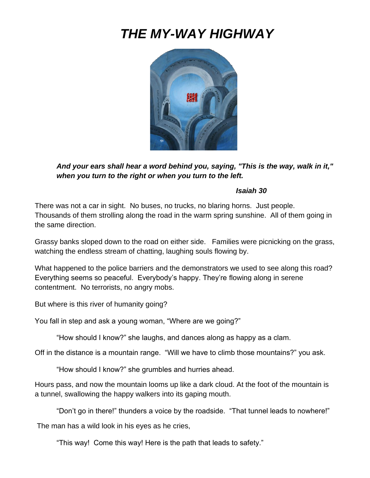# *THE MY-WAY HIGHWAY*



*And your ears shall hear a word behind you, saying, "This is the way, walk in it," when you turn to the right or when you turn to the left.*

#### *Isaiah 30*

There was not a car in sight. No buses, no trucks, no blaring horns. Just people. Thousands of them strolling along the road in the warm spring sunshine. All of them going in the same direction.

Grassy banks sloped down to the road on either side. Families were picnicking on the grass, watching the endless stream of chatting, laughing souls flowing by.

What happened to the police barriers and the demonstrators we used to see along this road? Everything seems so peaceful. Everybody's happy. They're flowing along in serene contentment. No terrorists, no angry mobs.

But where is this river of humanity going?

You fall in step and ask a young woman, "Where are we going?"

"How should I know?" she laughs, and dances along as happy as a clam.

Off in the distance is a mountain range. "Will we have to climb those mountains?" you ask.

"How should I know?" she grumbles and hurries ahead.

Hours pass, and now the mountain looms up like a dark cloud. At the foot of the mountain is a tunnel, swallowing the happy walkers into its gaping mouth.

"Don't go in there!" thunders a voice by the roadside. "That tunnel leads to nowhere!"

The man has a wild look in his eyes as he cries,

"This way! Come this way! Here is the path that leads to safety."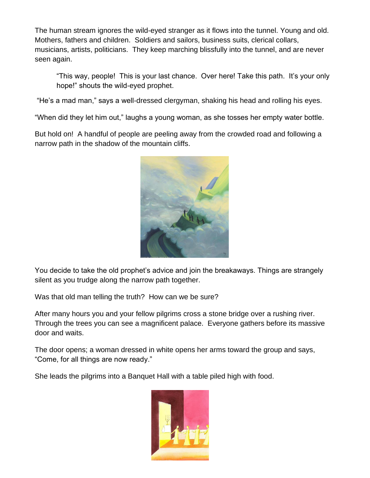The human stream ignores the wild-eyed stranger as it flows into the tunnel. Young and old. Mothers, fathers and children. Soldiers and sailors, business suits, clerical collars, musicians, artists, politicians. They keep marching blissfully into the tunnel, and are never seen again.

"This way, people! This is your last chance. Over here! Take this path. It's your only hope!" shouts the wild-eyed prophet.

"He's a mad man," says a well-dressed clergyman, shaking his head and rolling his eyes.

"When did they let him out," laughs a young woman, as she tosses her empty water bottle.

But hold on! A handful of people are peeling away from the crowded road and following a narrow path in the shadow of the mountain cliffs.



You decide to take the old prophet's advice and join the breakaways. Things are strangely silent as you trudge along the narrow path together.

Was that old man telling the truth? How can we be sure?

After many hours you and your fellow pilgrims cross a stone bridge over a rushing river. Through the trees you can see a magnificent palace. Everyone gathers before its massive door and waits.

The door opens; a woman dressed in white opens her arms toward the group and says, "Come, for all things are now ready."

She leads the pilgrims into a Banquet Hall with a table piled high with food.

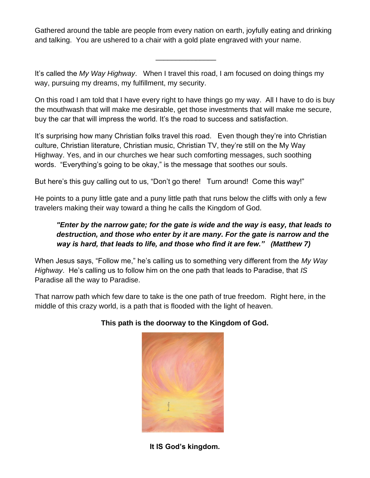Gathered around the table are people from every nation on earth, joyfully eating and drinking and talking. You are ushered to a chair with a gold plate engraved with your name.

\_\_\_\_\_\_\_\_\_\_\_\_\_\_\_

It's called the *My Way Highway*. When I travel this road, I am focused on doing things my way, pursuing my dreams, my fulfillment, my security.

On this road I am told that I have every right to have things go my way. All I have to do is buy the mouthwash that will make me desirable, get those investments that will make me secure, buy the car that will impress the world. It's the road to success and satisfaction.

It's surprising how many Christian folks travel this road. Even though they're into Christian culture, Christian literature, Christian music, Christian TV, they're still on the My Way Highway. Yes, and in our churches we hear such comforting messages, such soothing words. "Everything's going to be okay," is the message that soothes our souls.

But here's this guy calling out to us, "Don't go there! Turn around! Come this way!"

He points to a puny little gate and a puny little path that runs below the cliffs with only a few travelers making their way toward a thing he calls the Kingdom of God.

# *"Enter by the narrow gate; for the gate is wide and the way is easy, that leads to destruction, and those who enter by it are many. For the gate is narrow and the way is hard, that leads to life, and those who find it are few." (Matthew 7)*

When Jesus says, "Follow me," he's calling us to something very different from the *My Way Highway*. He's calling us to follow him on the one path that leads to Paradise, that *IS* Paradise all the way to Paradise.

That narrow path which few dare to take is the one path of true freedom. Right here, in the middle of this crazy world, is a path that is flooded with the light of heaven.



## **This path is the doorway to the Kingdom of God.**

**It IS God's kingdom.**